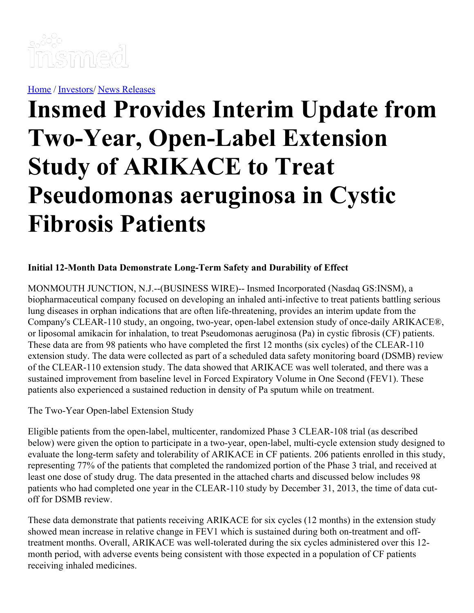

[Home](https://insmed.com/) / [Investors](https://investor.insmed.com/index)/ News [Releases](https://investor.insmed.com/releases)

# **Insmed Provides Interim Update from Two-Year, Open-Label Extension Study of ARIKACE to Treat Pseudomonas aeruginosa in Cystic Fibrosis Patients**

#### **Initial 12-Month Data Demonstrate Long-Term Safety and Durability of Effect**

MONMOUTH JUNCTION, N.J.--(BUSINESS WIRE)-- Insmed Incorporated (Nasdaq GS:INSM), a biopharmaceutical company focused on developing an inhaled anti-infective to treat patients battling serious lung diseases in orphan indications that are often life-threatening, provides an interim update from the Company's CLEAR-110 study, an ongoing, two-year, open-label extension study of once-daily ARIKACE®, or liposomal amikacin for inhalation, to treat Pseudomonas aeruginosa (Pa) in cystic fibrosis (CF) patients. These data are from 98 patients who have completed the first 12 months (six cycles) of the CLEAR-110 extension study. The data were collected as part of a scheduled data safety monitoring board (DSMB) review of the CLEAR-110 extension study. The data showed that ARIKACE was well tolerated, and there was a sustained improvement from baseline level in Forced Expiratory Volume in One Second (FEV1). These patients also experienced a sustained reduction in density of Pa sputum while on treatment.

The Two-Year Open-label Extension Study

Eligible patients from the open-label, multicenter, randomized Phase 3 CLEAR-108 trial (as described below) were given the option to participate in a two-year, open-label, multi-cycle extension study designed to evaluate the long-term safety and tolerability of ARIKACE in CF patients. 206 patients enrolled in this study, representing 77% of the patients that completed the randomized portion of the Phase 3 trial, and received at least one dose of study drug. The data presented in the attached charts and discussed below includes 98 patients who had completed one year in the CLEAR-110 study by December 31, 2013, the time of data cutoff for DSMB review.

These data demonstrate that patients receiving ARIKACE for six cycles (12 months) in the extension study showed mean increase in relative change in FEV1 which is sustained during both on-treatment and offtreatment months. Overall, ARIKACE was well-tolerated during the six cycles administered over this 12 month period, with adverse events being consistent with those expected in a population of CF patients receiving inhaled medicines.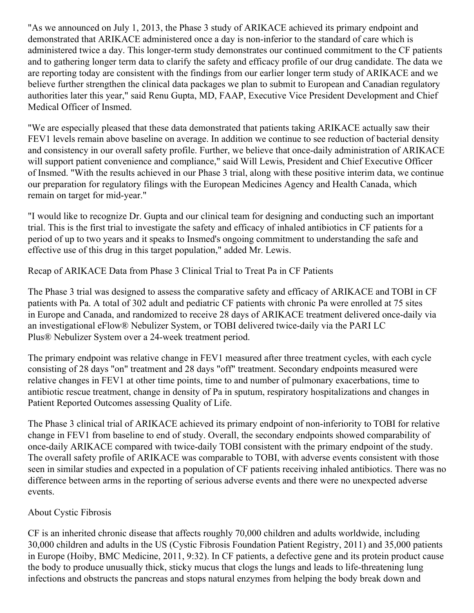"As we announced on July 1, 2013, the Phase 3 study of ARIKACE achieved its primary endpoint and demonstrated that ARIKACE administered once a day is non-inferior to the standard of care which is administered twice a day. This longer-term study demonstrates our continued commitment to the CF patients and to gathering longer term data to clarify the safety and efficacy profile of our drug candidate. The data we are reporting today are consistent with the findings from our earlier longer term study of ARIKACE and we believe further strengthen the clinical data packages we plan to submit to European and Canadian regulatory authorities later this year," said Renu Gupta, MD, FAAP, Executive Vice President Development and Chief Medical Officer of Insmed.

"We are especially pleased that these data demonstrated that patients taking ARIKACE actually saw their FEV1 levels remain above baseline on average. In addition we continue to see reduction of bacterial density and consistency in our overall safety profile. Further, we believe that once-daily administration of ARIKACE will support patient convenience and compliance," said Will Lewis, President and Chief Executive Officer of Insmed. "With the results achieved in our Phase 3 trial, along with these positive interim data, we continue our preparation for regulatory filings with the European Medicines Agency and Health Canada, which remain on target for mid-year."

"I would like to recognize Dr. Gupta and our clinical team for designing and conducting such an important trial. This is the first trial to investigate the safety and efficacy of inhaled antibiotics in CF patients for a period of up to two years and it speaks to Insmed's ongoing commitment to understanding the safe and effective use of this drug in this target population," added Mr. Lewis.

Recap of ARIKACE Data from Phase 3 Clinical Trial to Treat Pa in CF Patients

The Phase 3 trial was designed to assess the comparative safety and efficacy of ARIKACE and TOBI in CF patients with Pa. A total of 302 adult and pediatric CF patients with chronic Pa were enrolled at 75 sites in Europe and Canada, and randomized to receive 28 days of ARIKACE treatment delivered once-daily via an investigational eFlow® Nebulizer System, or TOBI delivered twice-daily via the PARI LC Plus® Nebulizer System over a 24-week treatment period.

The primary endpoint was relative change in FEV1 measured after three treatment cycles, with each cycle consisting of 28 days "on" treatment and 28 days "off" treatment. Secondary endpoints measured were relative changes in FEV1 at other time points, time to and number of pulmonary exacerbations, time to antibiotic rescue treatment, change in density of Pa in sputum, respiratory hospitalizations and changes in Patient Reported Outcomes assessing Quality of Life.

The Phase 3 clinical trial of ARIKACE achieved its primary endpoint of non-inferiority to TOBI for relative change in FEV1 from baseline to end of study. Overall, the secondary endpoints showed comparability of once-daily ARIKACE compared with twice-daily TOBI consistent with the primary endpoint of the study. The overall safety profile of ARIKACE was comparable to TOBI, with adverse events consistent with those seen in similar studies and expected in a population of CF patients receiving inhaled antibiotics. There was no difference between arms in the reporting of serious adverse events and there were no unexpected adverse events.

## About Cystic Fibrosis

CF is an inherited chronic disease that affects roughly 70,000 children and adults worldwide, including 30,000 children and adults in the US (Cystic Fibrosis Foundation Patient Registry, 2011) and 35,000 patients in Europe (Hoiby, BMC Medicine, 2011, 9:32). In CF patients, a defective gene and its protein product cause the body to produce unusually thick, sticky mucus that clogs the lungs and leads to life-threatening lung infections and obstructs the pancreas and stops natural enzymes from helping the body break down and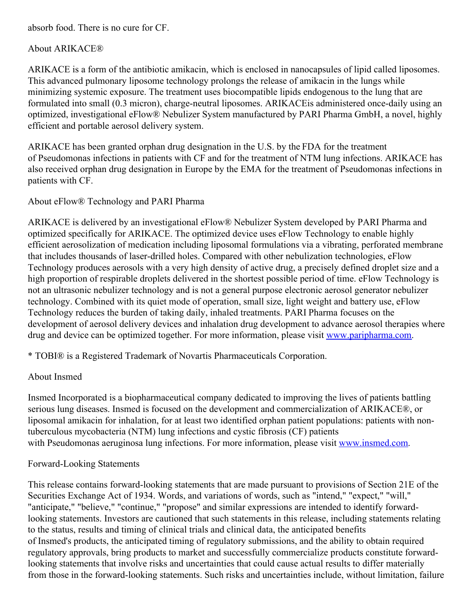absorb food. There is no cure for CF.

#### About ARIKACE®

ARIKACE is a form of the antibiotic amikacin, which is enclosed in nanocapsules of lipid called liposomes. This advanced pulmonary liposome technology prolongs the release of amikacin in the lungs while minimizing systemic exposure. The treatment uses biocompatible lipids endogenous to the lung that are formulated into small (0.3 micron), charge-neutral liposomes. ARIKACEis administered once-daily using an optimized, investigational eFlow® Nebulizer System manufactured by PARI Pharma GmbH, a novel, highly efficient and portable aerosol delivery system.

ARIKACE has been granted orphan drug designation in the U.S. by the FDA for the treatment of Pseudomonas infections in patients with CF and for the treatment of NTM lung infections. ARIKACE has also received orphan drug designation in Europe by the EMA for the treatment of Pseudomonas infections in patients with CF.

#### About eFlow® Technology and PARI Pharma

ARIKACE is delivered by an investigational eFlow® Nebulizer System developed by PARI Pharma and optimized specifically for ARIKACE. The optimized device uses eFlow Technology to enable highly efficient aerosolization of medication including liposomal formulations via a vibrating, perforated membrane that includes thousands of laser-drilled holes. Compared with other nebulization technologies, eFlow Technology produces aerosols with a very high density of active drug, a precisely defined droplet size and a high proportion of respirable droplets delivered in the shortest possible period of time. eFlow Technology is not an ultrasonic nebulizer technology and is not a general purpose electronic aerosol generator nebulizer technology. Combined with its quiet mode of operation, small size, light weight and battery use, eFlow Technology reduces the burden of taking daily, inhaled treatments. PARI Pharma focuses on the development of aerosol delivery devices and inhalation drug development to advance aerosol therapies where drug and device can be optimized together. For more information, please visit [www.paripharma.com](http://cts.businesswire.com/ct/CT?id=smartlink&url=http%3A%2F%2Fwww.paripharma.com&esheet=50806995&newsitemid=20140219005505&lan=en-US&anchor=www.paripharma.com&index=1&md5=a745db2f47659074ef9181343bc6f287).

\* TOBI® is a Registered Trademark of Novartis Pharmaceuticals Corporation.

## About Insmed

Insmed Incorporated is a biopharmaceutical company dedicated to improving the lives of patients battling serious lung diseases. Insmed is focused on the development and commercialization of ARIKACE®, or liposomal amikacin for inhalation, for at least two identified orphan patient populations: patients with nontuberculous mycobacteria (NTM) lung infections and cystic fibrosis (CF) patients with Pseudomonas aeruginosa lung infections. For more information, please visit [www.insmed.com](http://cts.businesswire.com/ct/CT?id=smartlink&url=http%3A%2F%2Fwww.insmed.com&esheet=50806995&newsitemid=20140219005505&lan=en-US&anchor=www.insmed.com&index=2&md5=ab23443260323fd72c80e5cbd8f89df0).

#### Forward-Looking Statements

This release contains forward-looking statements that are made pursuant to provisions of Section 21E of the Securities Exchange Act of 1934. Words, and variations of words, such as "intend," "expect," "will," "anticipate," "believe," "continue," "propose" and similar expressions are intended to identify forwardlooking statements. Investors are cautioned that such statements in this release, including statements relating to the status, results and timing of clinical trials and clinical data, the anticipated benefits of Insmed's products, the anticipated timing of regulatory submissions, and the ability to obtain required regulatory approvals, bring products to market and successfully commercialize products constitute forwardlooking statements that involve risks and uncertainties that could cause actual results to differ materially from those in the forward-looking statements. Such risks and uncertainties include, without limitation, failure